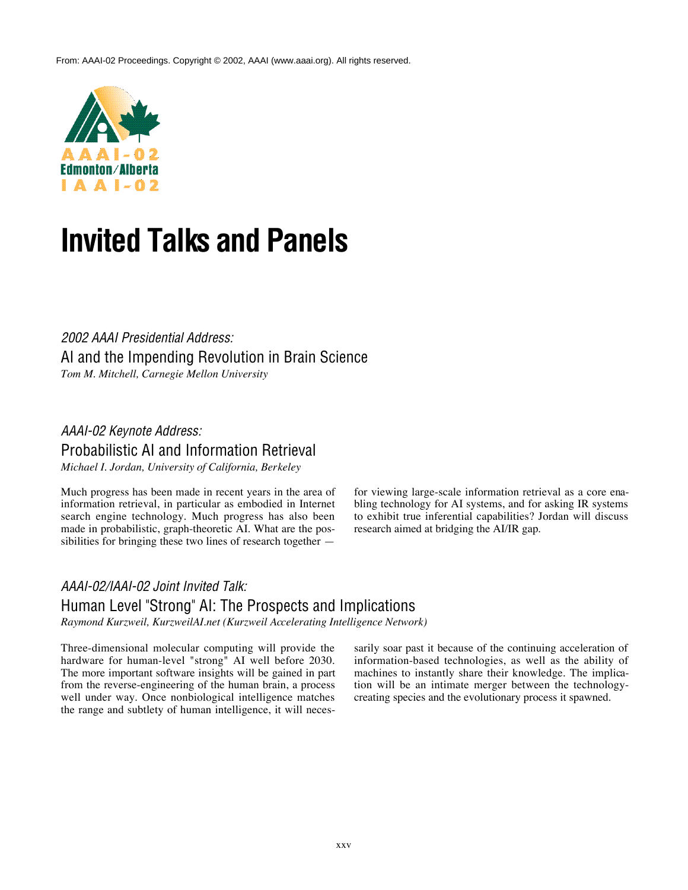From: AAAI-02 Proceedings. Copyright © 2002, AAAI (www.aaai.org). All rights reserved.



# **Invited Talks and Panels**

*2002 AAAI Presidential Address:* AI and the Impending Revolution in Brain Science *Tom M. Mitchell, Carnegie Mellon University*

## *AAAI-02 Keynote Address:* Probabilistic AI and Information Retrieval

*Michael I. Jordan, University of California, Berkeley*

Much progress has been made in recent years in the area of information retrieval, in particular as embodied in Internet search engine technology. Much progress has also been made in probabilistic, graph-theoretic AI. What are the possibilities for bringing these two lines of research together —

for viewing large-scale information retrieval as a core enabling technology for AI systems, and for asking IR systems to exhibit true inferential capabilities? Jordan will discuss research aimed at bridging the AI/IR gap.

## *AAAI-02/IAAI-02 Joint Invited Talk:* Human Level "Strong" AI: The Prospects and Implications

*Raymond Kurzweil, KurzweilAI.net (Kurzweil Accelerating Intelligence Network)*

Three-dimensional molecular computing will provide the hardware for human-level "strong" AI well before 2030. The more important software insights will be gained in part from the reverse-engineering of the human brain, a process well under way. Once nonbiological intelligence matches the range and subtlety of human intelligence, it will necessarily soar past it because of the continuing acceleration of information-based technologies, as well as the ability of machines to instantly share their knowledge. The implication will be an intimate merger between the technologycreating species and the evolutionary process it spawned.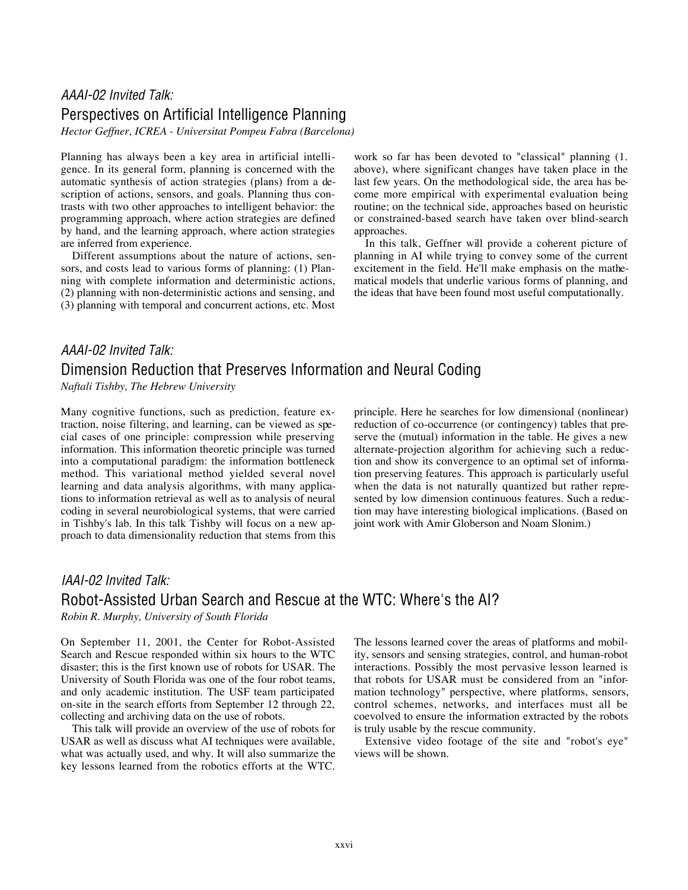#### *AAAI-02 Invited Talk:* Perspectives on Artificial Intelligence Planning

*Hector Geffner, ICREA - Universitat Pompeu Fabra (Barcelona)*

Planning has always been a key area in artificial intelligence. In its general form, planning is concerned with the automatic synthesis of action strategies (plans) from a description of actions, sensors, and goals. Planning thus contrasts with two other approaches to intelligent behavior: the programming approach, where action strategies are defined by hand, and the learning approach, where action strategies are inferred from experience.

Different assumptions about the nature of actions, sensors, and costs lead to various forms of planning: (1) Planning with complete information and deterministic actions, (2) planning with non-deterministic actions and sensing, and (3) planning with temporal and concurrent actions, etc. Most work so far has been devoted to "classical" planning (1. above), where significant changes have taken place in the last few years. On the methodological side, the area has become more empirical with experimental evaluation being routine; on the technical side, approaches based on heuristic or constrained-based search have taken over blind-search approaches.

In this talk, Geffner will provide a coherent picture of planning in AI while trying to convey some of the current excitement in the field. He'll make emphasis on the mathematical models that underlie various forms of planning, and the ideas that have been found most useful computationally.

## *AAAI-02 Invited Talk:* Dimension Reduction that Preserves Information and Neural Coding

*Naftali Tishby, The Hebrew University*

Many cognitive functions, such as prediction, feature extraction, noise filtering, and learning, can be viewed as special cases of one principle: compression while preserving information. This information theoretic principle was turned into a computational paradigm: the information bottleneck method. This variational method yielded several novel learning and data analysis algorithms, with many applications to information retrieval as well as to analysis of neural coding in several neurobiological systems, that were carried in Tishby's lab. In this talk Tishby will focus on a new approach to data dimensionality reduction that stems from this

principle. Here he searches for low dimensional (nonlinear) reduction of co-occurrence (or contingency) tables that preserve the (mutual) information in the table. He gives a new alternate-projection algorithm for achieving such a reduction and show its convergence to an optimal set of information preserving features. This approach is particularly useful when the data is not naturally quantized but rather represented by low dimension continuous features. Such a reduction may have interesting biological implications. (Based on joint work with Amir Globerson and Noam Slonim.)

#### *IAAI-02 Invited Talk:*

## Robot-Assisted Urban Search and Rescue at the WTC: Where's the AI?

*Robin R. Murphy, University of South Florida*

On September 11, 2001, the Center for Robot-Assisted Search and Rescue responded within six hours to the WTC disaster; this is the first known use of robots for USAR. The University of South Florida was one of the four robot teams, and only academic institution. The USF team participated on-site in the search efforts from September 12 through 22, collecting and archiving data on the use of robots.

This talk will provide an overview of the use of robots for USAR as well as discuss what AI techniques were available, what was actually used, and why. It will also summarize the key lessons learned from the robotics efforts at the WTC. The lessons learned cover the areas of platforms and mobility, sensors and sensing strategies, control, and human-robot interactions. Possibly the most pervasive lesson learned is that robots for USAR must be considered from an "information technology" perspective, where platforms, sensors, control schemes, networks, and interfaces must all be coevolved to ensure the information extracted by the robots is truly usable by the rescue community.

Extensive video footage of the site and "robot's eye" views will be shown.